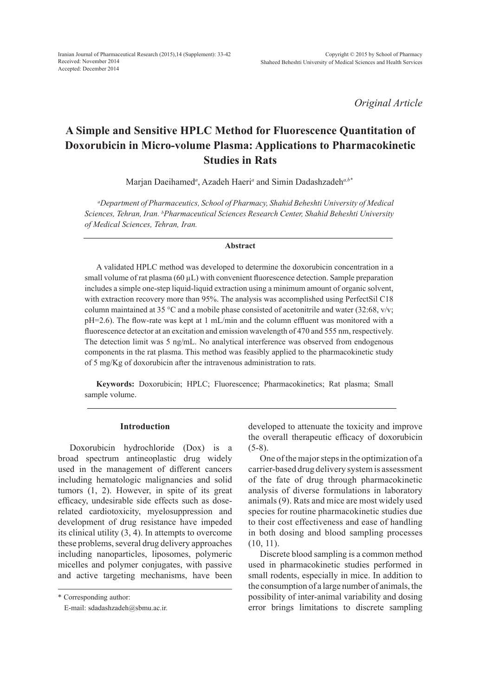*Original Article*

# **A Simple and Sensitive HPLC Method for Fluorescence Quantitation of Doxorubicin in Micro-volume Plasma: Applications to Pharmacokinetic Studies in Rats**

Marjan Daeihamed*<sup>a</sup>* , Azadeh Haeri*<sup>a</sup>* and Simin Dadashzadeh*a,b\**

*a Department of Pharmaceutics, School of Pharmacy, Shahid Beheshti University of Medical Sciences, Tehran, Iran. b Pharmaceutical Sciences Research Center, Shahid Beheshti University of Medical Sciences, Tehran, Iran.*

#### **Abstract**

A validated HPLC method was developed to determine the doxorubicin concentration in a small volume of rat plasma  $(60 \mu L)$  with convenient fluorescence detection. Sample preparation includes a simple one-step liquid-liquid extraction using a minimum amount of organic solvent, with extraction recovery more than 95%. The analysis was accomplished using PerfectSil C18 column maintained at 35 °C and a mobile phase consisted of acetonitrile and water (32:68, v/v; pH=2.6). The flow-rate was kept at 1 mL/min and the column effluent was monitored with a fluorescence detector at an excitation and emission wavelength of 470 and 555 nm, respectively. The detection limit was 5 ng/mL. No analytical interference was observed from endogenous components in the rat plasma. This method was feasibly applied to the pharmacokinetic study of 5 mg/Kg of doxorubicin after the intravenous administration to rats.

**Keywords:** Doxorubicin; HPLC; Fluorescence; Pharmacokinetics; Rat plasma; Small sample volume.

#### **Introduction**

Doxorubicin hydrochloride (Dox) is a broad spectrum antineoplastic drug widely used in the management of different cancers including hematologic malignancies and solid tumors (1, 2). However, in spite of its great efficacy, undesirable side effects such as doserelated cardiotoxicity, myelosuppression and development of drug resistance have impeded its clinical utility (3, 4). In attempts to overcome these problems, several drug delivery approaches including nanoparticles, liposomes, polymeric micelles and polymer conjugates, with passive and active targeting mechanisms, have been

\* Corresponding author:

E-mail: sdadashzadeh@sbmu.ac.ir.

developed to attenuate the toxicity and improve the overall therapeutic efficacy of doxorubicin  $(5-8)$ .

One of the major steps in the optimization of a carrier-based drug delivery system is assessment of the fate of drug through pharmacokinetic analysis of diverse formulations in laboratory animals (9). Rats and mice are most widely used species for routine pharmacokinetic studies due to their cost effectiveness and ease of handling in both dosing and blood sampling processes (10, 11).

Discrete blood sampling is a common method used in pharmacokinetic studies performed in small rodents, especially in mice. In addition to the consumption of a large number of animals, the possibility of inter-animal variability and dosing error brings limitations to discrete sampling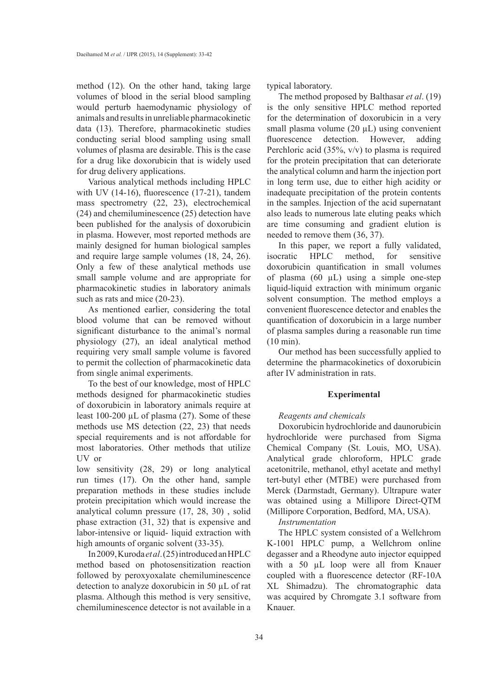method (12). On the other hand, taking large volumes of blood in the serial blood sampling would perturb haemodynamic physiology of animals and results in unreliable pharmacokinetic data (13). Therefore, pharmacokinetic studies conducting serial blood sampling using small volumes of plasma are desirable. This is the case for a drug like doxorubicin that is widely used for drug delivery applications.

Various analytical methods including HPLC with UV (14-16), fluorescence (17-21), tandem mass spectrometry (22, 23), electrochemical (24) and chemiluminescence (25) detection have been published for the analysis of doxorubicin in plasma. However, most reported methods are mainly designed for human biological samples and require large sample volumes (18, 24, 26). Only a few of these analytical methods use small sample volume and are appropriate for pharmacokinetic studies in laboratory animals such as rats and mice  $(20-23)$ .

As mentioned earlier, considering the total blood volume that can be removed without significant disturbance to the animal's normal physiology (27), an ideal analytical method requiring very small sample volume is favored to permit the collection of pharmacokinetic data from single animal experiments.

To the best of our knowledge, most of HPLC methods designed for pharmacokinetic studies of doxorubicin in laboratory animals require at least 100-200 µL of plasma (27). Some of these methods use MS detection (22, 23) that needs special requirements and is not affordable for most laboratories. Other methods that utilize UV or

low sensitivity (28, 29) or long analytical run times (17). On the other hand, sample preparation methods in these studies include protein precipitation which would increase the analytical column pressure (17, 28, 30) , solid phase extraction (31, 32) that is expensive and labor-intensive or liquid- liquid extraction with high amounts of organic solvent (33-35).

In 2009, Kuroda *et al*. (25) introduced an HPLC method based on photosensitization reaction followed by peroxyoxalate chemiluminescence detection to analyze doxorubicin in 50 µL of rat plasma. Although this method is very sensitive, chemiluminescence detector is not available in a typical laboratory.

The method proposed by Balthasar *et al*. (19) is the only sensitive HPLC method reported for the determination of doxorubicin in a very small plasma volume (20  $\mu$ L) using convenient fluorescence detection. However, adding Perchloric acid (35%, v/v) to plasma is required for the protein precipitation that can deteriorate the analytical column and harm the injection port in long term use, due to either high acidity or inadequate precipitation of the protein contents in the samples. Injection of the acid supernatant also leads to numerous late eluting peaks which are time consuming and gradient elution is needed to remove them (36, 37).

In this paper, we report a fully validated, isocratic HPLC method, for sensitive doxorubicin quantification in small volumes of plasma  $(60 \mu L)$  using a simple one-step liquid-liquid extraction with minimum organic solvent consumption. The method employs a convenient fluorescence detector and enables the quantification of doxorubicin in a large number of plasma samples during a reasonable run time (10 min).

Our method has been successfully applied to determine the pharmacokinetics of doxorubicin after IV administration in rats.

## **Experimental**

#### *Reagents and chemicals*

Doxorubicin hydrochloride and daunorubicin hydrochloride were purchased from Sigma Chemical Company (St. Louis, MO, USA). Analytical grade chloroform, HPLC grade acetonitrile, methanol, ethyl acetate and methyl tert-butyl ether (MTBE) were purchased from Merck (Darmstadt, Germany). Ultrapure water was obtained using a Millipore Direct-QTM (Millipore Corporation, Bedford, MA, USA).

## *Instrumentation*

The HPLC system consisted of a Wellchrom K-1001 HPLC pump, a Wellchrom online degasser and a Rheodyne auto injector equipped with a 50 µL loop were all from Knauer coupled with a fluorescence detector (RF-10A XL Shimadzu). The chromatographic data was acquired by Chromgate 3.1 software from Knauer.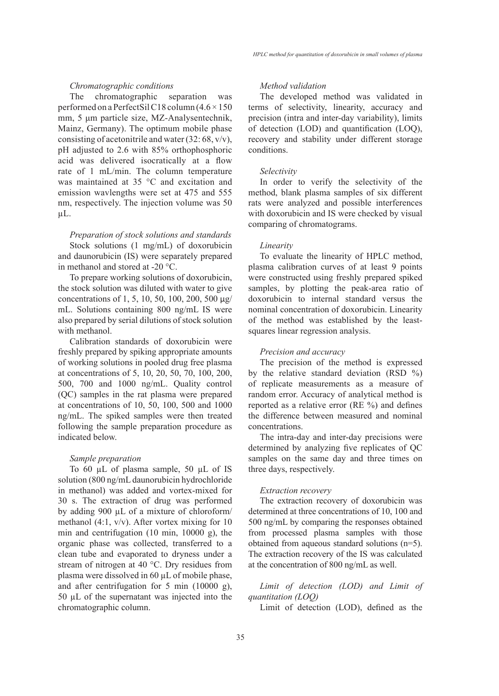## *Chromatographic conditions*

The chromatographic separation was performed on a PerfectSil C18 column  $(4.6 \times 150)$ mm, 5 μm particle size, MZ-Analysentechnik, Mainz, Germany). The optimum mobile phase consisting of acetonitrile and water (32: 68, v/v), pH adjusted to 2.6 with 85% orthophosphoric acid was delivered isocratically at a flow rate of 1 mL/min. The column temperature was maintained at 35 °C and excitation and emission wavlengths were set at 475 and 555 nm, respectively. The injection volume was 50  $\mu$ L.

*Preparation of stock solutions and standards*  Stock solutions (1 mg/mL) of doxorubicin and daunorubicin (IS) were separately prepared in methanol and stored at -20 °C.

To prepare working solutions of doxorubicin, the stock solution was diluted with water to give concentrations of 1, 5, 10, 50, 100, 200, 500 µg/ mL. Solutions containing 800 ng/mL IS were also prepared by serial dilutions of stock solution with methanol.

Calibration standards of doxorubicin were freshly prepared by spiking appropriate amounts of working solutions in pooled drug free plasma at concentrations of 5, 10, 20, 50, 70, 100, 200, 500, 700 and 1000 ng/mL. Quality control (QC) samples in the rat plasma were prepared at concentrations of 10, 50, 100, 500 and 1000 ng/mL. The spiked samples were then treated following the sample preparation procedure as indicated below.

## *Sample preparation*

To 60 µL of plasma sample, 50 µL of IS solution (800 ng/mL daunorubicin hydrochloride in methanol) was added and vortex-mixed for 30 s. The extraction of drug was performed by adding 900 µL of a mixture of chloroform/ methanol (4:1, v/v). After vortex mixing for 10 min and centrifugation (10 min, 10000 g), the organic phase was collected, transferred to a clean tube and evaporated to dryness under a stream of nitrogen at 40 °C. Dry residues from plasma were dissolved in 60 µL of mobile phase, and after centrifugation for 5 min (10000 g), 50 µL of the supernatant was injected into the chromatographic column.

## *Method validation*

The developed method was validated in terms of selectivity, linearity, accuracy and precision (intra and inter-day variability), limits of detection (LOD) and quantification (LOQ), recovery and stability under different storage conditions.

#### *Selectivity*

In order to verify the selectivity of the method, blank plasma samples of six different rats were analyzed and possible interferences with doxorubicin and IS were checked by visual comparing of chromatograms.

#### *Linearity*

To evaluate the linearity of HPLC method, plasma calibration curves of at least 9 points were constructed using freshly prepared spiked samples, by plotting the peak-area ratio of doxorubicin to internal standard versus the nominal concentration of doxorubicin. Linearity of the method was established by the leastsquares linear regression analysis.

#### *Precision and accuracy*

The precision of the method is expressed by the relative standard deviation (RSD %) of replicate measurements as a measure of random error. Accuracy of analytical method is reported as a relative error (RE %) and defines the difference between measured and nominal concentrations.

The intra-day and inter-day precisions were determined by analyzing five replicates of QC samples on the same day and three times on three days, respectively.

#### *Extraction recovery*

The extraction recovery of doxorubicin was determined at three concentrations of 10, 100 and 500 ng/mL by comparing the responses obtained from processed plasma samples with those obtained from aqueous standard solutions (n=5). The extraction recovery of the IS was calculated at the concentration of 800 ng/mL as well.

*Limit of detection (LOD) and Limit of quantitation (LOQ)*

Limit of detection (LOD), defined as the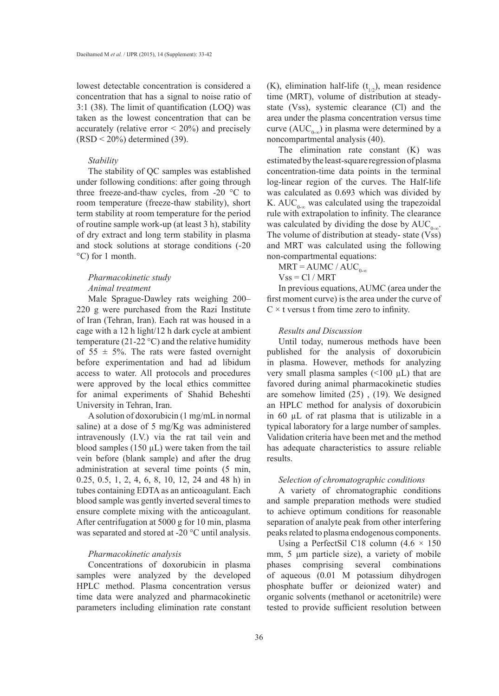lowest detectable concentration is considered a concentration that has a signal to noise ratio of 3:1 (38). The limit of quantification (LOQ) was taken as the lowest concentration that can be accurately (relative error  $\leq 20\%$ ) and precisely  $(RSD < 20\%)$  determined (39).

#### *Stability*

The stability of QC samples was established under following conditions: after going through three freeze-and-thaw cycles, from -20 °C to room temperature (freeze-thaw stability), short term stability at room temperature for the period of routine sample work-up (at least 3 h), stability of dry extract and long term stability in plasma and stock solutions at storage conditions (-20 °C) for 1 month.

## *Pharmacokinetic study Animal treatment*

Male Sprague-Dawley rats weighing 200– 220 g were purchased from the Razi Institute of Iran (Tehran, Iran). Each rat was housed in a cage with a 12 h light/12 h dark cycle at ambient temperature (21-22  $^{\circ}$ C) and the relative humidity of  $55 \pm 5\%$ . The rats were fasted overnight before experimentation and had ad libidum access to water. All protocols and procedures were approved by the local ethics committee for animal experiments of Shahid Beheshti University in Tehran, Iran.

A solution of doxorubicin (1 mg/mL in normal saline) at a dose of 5 mg/Kg was administered intravenously (I.V.) via the rat tail vein and blood samples (150 µL) were taken from the tail vein before (blank sample) and after the drug administration at several time points (5 min, 0.25, 0.5, 1, 2, 4, 6, 8, 10, 12, 24 and 48 h) in tubes containing EDTA as an anticoagulant. Each blood sample was gently inverted several times to ensure complete mixing with the anticoagulant. After centrifugation at 5000 g for 10 min, plasma was separated and stored at -20 °C until analysis.

## *Pharmacokinetic analysis*

Concentrations of doxorubicin in plasma samples were analyzed by the developed HPLC method. Plasma concentration versus time data were analyzed and pharmacokinetic parameters including elimination rate constant (K), elimination half-life ( $t_{1/2}$ ), mean residence time (MRT), volume of distribution at steadystate (Vss), systemic clearance (Cl) and the area under the plasma concentration versus time curve (AUC<sub>0-∞</sub>) in plasma were determined by a noncompartmental analysis (40).

The elimination rate constant (K) was estimated by the least-square regression of plasma concentration-time data points in the terminal log-linear region of the curves. The Half-life was calculated as 0.693 which was divided by K. AUC<sub>0-∞</sub> was calculated using the trapezoidal rule with extrapolation to infinity. The clearance was calculated by dividing the dose by  $AUC_{0\ldots}$ . The volume of distribution at steady- state (Vss) and MRT was calculated using the following non-compartmental equations:

 $MRT = AUMC / AUC_{0-x}$ 

 $Vss = Cl / MRT$ 

In previous equations, AUMC (area under the first moment curve) is the area under the curve of  $C \times t$  versus t from time zero to infinity.

## *Results and Discussion*

Until today, numerous methods have been published for the analysis of doxorubicin in plasma. However, methods for analyzing very small plasma samples  $(\leq 100 \mu L)$  that are favored during animal pharmacokinetic studies are somehow limited (25) , (19). We designed an HPLC method for analysis of doxorubicin in 60 µL of rat plasma that is utilizable in a typical laboratory for a large number of samples. Validation criteria have been met and the method has adequate characteristics to assure reliable results.

#### *Selection of chromatographic conditions*

A variety of chromatographic conditions and sample preparation methods were studied to achieve optimum conditions for reasonable separation of analyte peak from other interfering peaks related to plasma endogenous components.

Using a PerfectSil C18 column  $(4.6 \times 150)$ mm, 5 μm particle size), a variety of mobile phases comprising several combinations of aqueous (0.01 M potassium dihydrogen phosphate buffer or deionized water) and organic solvents (methanol or acetonitrile) were tested to provide sufficient resolution between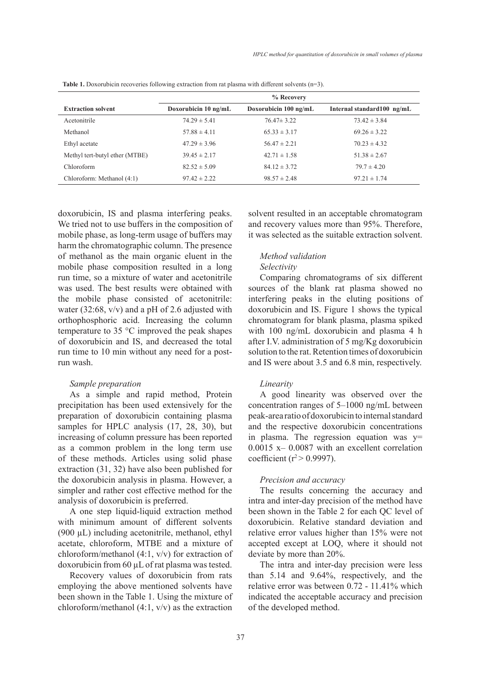|                                | % Recovery           |                       |                            |
|--------------------------------|----------------------|-----------------------|----------------------------|
| <b>Extraction solvent</b>      | Doxorubicin 10 ng/mL | Doxorubicin 100 ng/mL | Internal standard100 ng/mL |
| Acetonitrile                   | $74.29 \pm 5.41$     | $76.47 \pm 3.22$      | $73.42 \pm 3.84$           |
| Methanol                       | $57.88 \pm 4.11$     | $65.33 \pm 3.17$      | $69.26 \pm 3.22$           |
| Ethyl acetate                  | $47.29 \pm 3.96$     | $56.47 \pm 2.21$      | $70.23 \pm 4.32$           |
| Methyl tert-butyl ether (MTBE) | $39.45 \pm 2.17$     | $42.71 \pm 1.58$      | $51.38 \pm 2.67$           |
| Chloroform                     | $82.52 \pm 5.09$     | $84.12 \pm 3.72$      | $79.7 \pm 4.20$            |
| Chloroform: Methanol (4:1)     | $97.42 \pm 2.22$     | $98.57 \pm 2.48$      | $97.21 \pm 1.74$           |

**Table 1.** Doxorubicin recoveries following extraction from rat plasma with different solvents (n=3).

doxorubicin, IS and plasma interfering peaks. We tried not to use buffers in the composition of mobile phase, as long-term usage of buffers may harm the chromatographic column. The presence of methanol as the main organic eluent in the mobile phase composition resulted in a long run time, so a mixture of water and acetonitrile was used. The best results were obtained with the mobile phase consisted of acetonitrile: water (32:68,  $v/v$ ) and a pH of 2.6 adjusted with orthophosphoric acid. Increasing the column temperature to 35 °C improved the peak shapes of doxorubicin and IS, and decreased the total run time to 10 min without any need for a postrun wash.

## *Sample preparation*

As a simple and rapid method, Protein precipitation has been used extensively for the preparation of doxorubicin containing plasma samples for HPLC analysis (17, 28, 30), but increasing of column pressure has been reported as a common problem in the long term use of these methods. Articles using solid phase extraction (31, 32) have also been published for the doxorubicin analysis in plasma. However, a simpler and rather cost effective method for the analysis of doxorubicin is preferred.

A one step liquid-liquid extraction method with minimum amount of different solvents (900 µL) including acetonitrile, methanol, ethyl acetate, chloroform, MTBE and a mixture of chloroform/methanol (4:1, v/v) for extraction of doxorubicin from 60 µL of rat plasma was tested.

Recovery values of doxorubicin from rats employing the above mentioned solvents have been shown in the Table 1. Using the mixture of chloroform/methanol (4:1, v/v) as the extraction solvent resulted in an acceptable chromatogram and recovery values more than 95%. Therefore, it was selected as the suitable extraction solvent.

## *Method validation*

## *Selectivity*

Comparing chromatograms of six different sources of the blank rat plasma showed no interfering peaks in the eluting positions of doxorubicin and IS. Figure 1 shows the typical chromatogram for blank plasma, plasma spiked with 100 ng/mL doxorubicin and plasma 4 h after I.V. administration of 5 mg/Kg doxorubicin solution to the rat. Retention times of doxorubicin and IS were about 3.5 and 6.8 min, respectively.

#### *Linearity*

A good linearity was observed over the concentration ranges of 5–1000 ng/mL between peak-area ratio of doxorubicin to internal standard and the respective doxorubicin concentrations in plasma. The regression equation was  $y=$ 0.0015 x– 0.0087 with an excellent correlation coefficient ( $r^2$  > 0.9997).

## *Precision and accuracy*

The results concerning the accuracy and intra and inter-day precision of the method have been shown in the Table 2 for each QC level of doxorubicin. Relative standard deviation and relative error values higher than 15% were not accepted except at LOQ, where it should not deviate by more than 20%.

The intra and inter-day precision were less than 5.14 and 9.64%, respectively, and the relative error was between 0.72 - 11.41% which indicated the acceptable accuracy and precision of the developed method.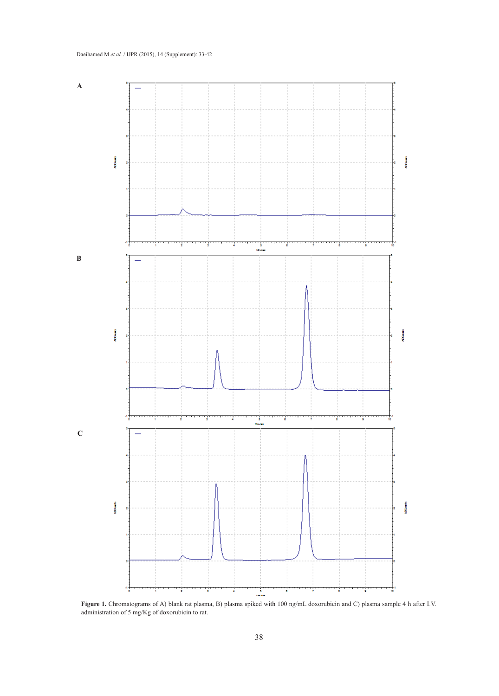

**Figure 1.** Chromatograms of A) blank rat plasma, B) plasma spiked with 100 ng/mL doxorubicin and C) plasma sample 4 h after I.V. administration of 5 mg/Kg of doxorubicin to rat.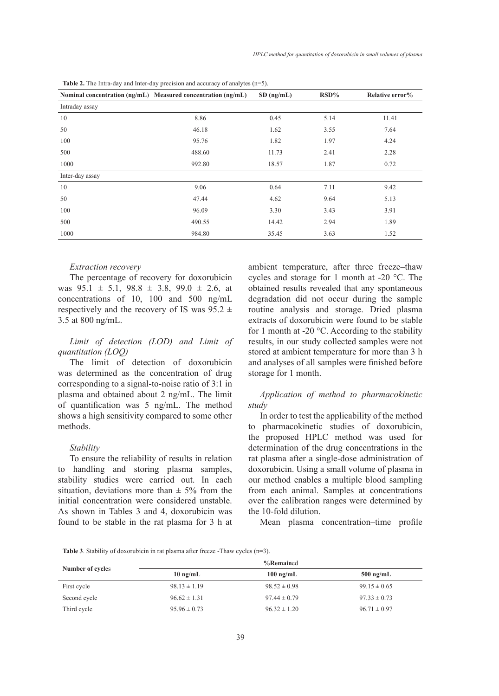|                 | Nominal concentration (ng/mL) Measured concentration (ng/mL) | $SD$ (ng/mL) | $RSD\%$ | Relative error% |
|-----------------|--------------------------------------------------------------|--------------|---------|-----------------|
| Intraday assay  |                                                              |              |         |                 |
| 10              | 8.86                                                         | 0.45         | 5.14    | 11.41           |
| 50              | 46.18                                                        | 1.62         | 3.55    | 7.64            |
| 100             | 95.76                                                        | 1.82         | 1.97    | 4.24            |
| 500             | 488.60                                                       | 11.73        | 2.41    | 2.28            |
| 1000            | 992.80                                                       | 18.57        | 1.87    | 0.72            |
| Inter-day assay |                                                              |              |         |                 |
| 10              | 9.06                                                         | 0.64         | 7.11    | 9.42            |
| 50              | 47.44                                                        | 4.62         | 9.64    | 5.13            |
| 100             | 96.09                                                        | 3.30         | 3.43    | 3.91            |
| 500             | 490.55                                                       | 14.42        | 2.94    | 1.89            |
| 1000            | 984.80                                                       | 35.45        | 3.63    | 1.52            |

**Table 2.** The Intra-day and Inter-day precision and accuracy of analytes (n=5).

## *Extraction recovery*

The percentage of recovery for doxorubicin was  $95.1 \pm 5.1$ ,  $98.8 \pm 3.8$ ,  $99.0 \pm 2.6$ , at concentrations of 10, 100 and 500 ng/mL respectively and the recovery of IS was  $95.2 \pm$ 3.5 at 800 ng/mL.

## *Limit of detection (LOD) and Limit of quantitation (LOQ)*

The limit of detection of doxorubicin was determined as the concentration of drug corresponding to a signal-to-noise ratio of 3:1 in plasma and obtained about 2 ng/mL. The limit of quantification was 5 ng/mL. The method shows a high sensitivity compared to some other methods.

#### *Stability*

To ensure the reliability of results in relation to handling and storing plasma samples, stability studies were carried out. In each situation, deviations more than  $\pm$  5% from the initial concentration were considered unstable. As shown in Tables 3 and 4, doxorubicin was found to be stable in the rat plasma for 3 h at ambient temperature, after three freeze–thaw cycles and storage for 1 month at -20 °C. The obtained results revealed that any spontaneous degradation did not occur during the sample routine analysis and storage. Dried plasma extracts of doxorubicin were found to be stable for 1 month at -20  $^{\circ}$ C. According to the stability results, in our study collected samples were not stored at ambient temperature for more than 3 h and analyses of all samples were finished before storage for 1 month.

*Application of method to pharmacokinetic study*

In order to test the applicability of the method to pharmacokinetic studies of doxorubicin, the proposed HPLC method was used for determination of the drug concentrations in the rat plasma after a single-dose administration of doxorubicin. Using a small volume of plasma in our method enables a multiple blood sampling from each animal. Samples at concentrations over the calibration ranges were determined by the 10-fold dilution.

Mean plasma concentration–time profile

**Table 3**. Stability of doxorubicin in rat plasma after freeze -Thaw cycles (n=3).

| Number of cycles |                    | %Remained           |                  |
|------------------|--------------------|---------------------|------------------|
|                  | $10 \text{ ng/mL}$ | $100 \text{ ng/mL}$ | $500$ ng/mL      |
| First cycle      | $98.13 \pm 1.19$   | $98.52 \pm 0.98$    | $99.15 \pm 0.65$ |
| Second cycle     | $96.62 \pm 1.31$   | $97.44 \pm 0.79$    | $97.33 \pm 0.73$ |
| Third cycle      | $95.96 \pm 0.73$   | $96.32 \pm 1.20$    | $96.71 \pm 0.97$ |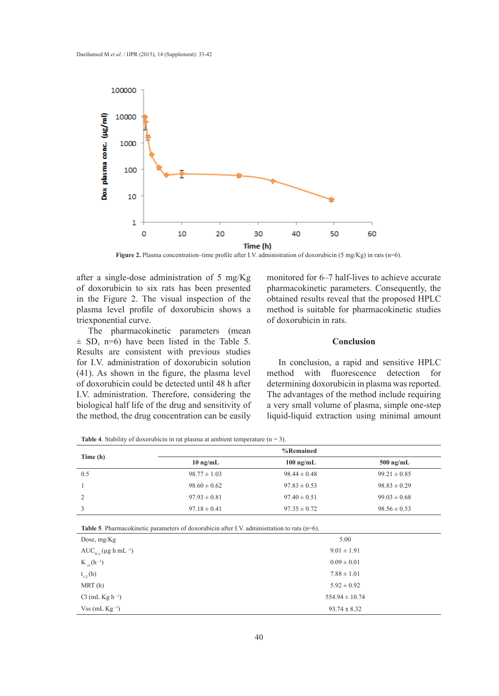

**Figure 2.** Plasma concentration–time profile after I.V. administration of doxorubicin (5 mg/Kg) in rats (n=6).

after a single-dose administration of 5 mg/Kg of doxorubicin to six rats has been presented in the Figure 2. The visual inspection of the plasma level profile of doxorubicin shows a triexponential curve.

The pharmacokinetic parameters (mean  $\pm$  SD, n=6) have been listed in the Table 5. Results are consistent with previous studies for I.V. administration of doxorubicin solution (41). As shown in the figure, the plasma level of doxorubicin could be detected until 48 h after I.V. administration. Therefore, considering the biological half life of the drug and sensitivity of the method, the drug concentration can be easily monitored for 6–7 half-lives to achieve accurate pharmacokinetic parameters. Consequently, the obtained results reveal that the proposed HPLC method is suitable for pharmacokinetic studies of doxorubicin in rats.

## **Conclusion**

In conclusion, a rapid and sensitive HPLC method with fluorescence detection for determining doxorubicin in plasma was reported. The advantages of the method include requiring a very small volume of plasma, simple one-step liquid-liquid extraction using minimal amount

**Table 4**. Stability of doxorubicin in rat plasma at ambient temperature  $(n = 3)$ .

|          | %Remained          |                  |                  |
|----------|--------------------|------------------|------------------|
| Time (h) | $10 \text{ ng/mL}$ | $100$ ng/mL      | $500$ ng/mL      |
| 0.5      | $98.77 \pm 1.03$   | $98.44 \pm 0.48$ | $99.21 \pm 0.85$ |
|          | $98.60 \pm 0.62$   | $97.83 \pm 0.53$ | $98.83 \pm 0.29$ |
| 2        | $97.93 \pm 0.81$   | $97.40 \pm 0.51$ | $99.03 \pm 0.68$ |
| 3        | $97.18 \pm 0.41$   | $97.35 \pm 0.72$ | $98.56 \pm 0.53$ |

**Table 5**. Pharmacokinetic parameters of doxorubicin after I.V. administration to rats (n=6).

| Dose, $mg/Kg$                                                 | 5.00               |
|---------------------------------------------------------------|--------------------|
| AUC <sub>0-<math>\infty</math></sub> (µg h mL <sup>-1</sup> ) | $9.01 \pm 1.91$    |
| $K_{el}$ (h $^{-1}$ )                                         | $0.09 \pm 0.01$    |
| $t_{1/2}$ (h)                                                 | $7.88 \pm 1.01$    |
| MRT(h)                                                        | $5.92 \pm 0.92$    |
| Cl (mL Kg $h^{-1}$ )                                          | $554.94 \pm 10.74$ |
| $V$ ss (mL Kg $^{-1}$ )                                       | $93.74 \pm 8.32$   |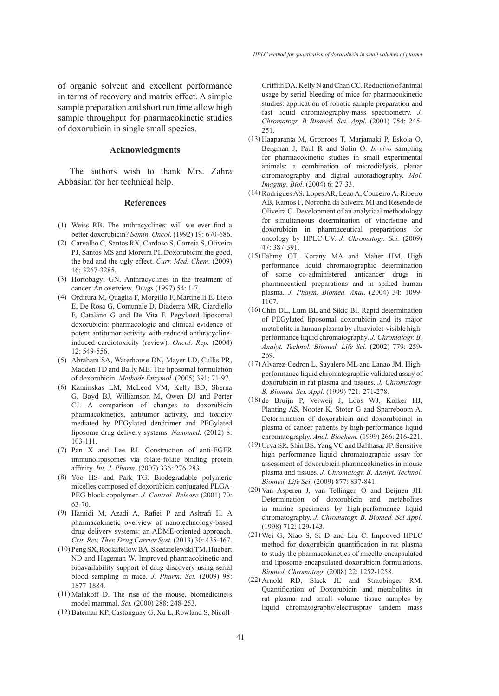of organic solvent and excellent performance in terms of recovery and matrix effect. A simple sample preparation and short run time allow high sample throughput for pharmacokinetic studies of doxorubicin in single small species.

#### **Acknowledgments**

The authors wish to thank Mrs. Zahra Abbasian for her technical help.

#### **References**

- Weiss RB. The anthracyclines: will we ever find a (1) better doxorubicin? *Semin. Oncol.* (1992) 19: 670-686.
- Carvalho C, Santos RX, Cardoso S, Correia S, Oliveira (2) PJ, Santos MS and Moreira PI. Doxorubicin: the good, the bad and the ugly effect. *Curr. Med. Chem*. (2009) 16: 3267-3285.
- (3) Hortobagyi GN. Anthracyclines in the treatment of cancer. An overview. *Drugs* (1997) 54: 1-7.
- (4) Orditura M, Quaglia F, Morgillo F, Martinelli E, Lieto E, De Rosa G, Comunale D, Diadema MR, Ciardiello F, Catalano G and De Vita F. Pegylated liposomal doxorubicin: pharmacologic and clinical evidence of potent antitumor activity with reduced anthracyclineinduced cardiotoxicity (review). *Oncol. Rep.* (2004)  $12.549 - 556$
- Abraham SA, Waterhouse DN, Mayer LD, Cullis PR, (5) Madden TD and Bally MB. The liposomal formulation of doxorubicin. *Methods Enzymol.* (2005) 391: 71-97.
- (6) Kaminskas LM, McLeod VM, Kelly BD, Sberna G, Boyd BJ, Williamson M, Owen DJ and Porter CJ. A comparison of changes to doxorubicin pharmacokinetics, antitumor activity, and toxicity mediated by PEGylated dendrimer and PEGylated liposome drug delivery systems. *Nanomed.* (2012) 8: 103-111.
- $(7)$  Pan X and Lee RJ. Construction of anti-EGFR immunoliposomes via folate-folate binding protein affinity. *Int. J. Pharm.* (2007) 336: 276-283.
- Yoo HS and Park TG. Biodegradable polymeric (8) micelles composed of doxorubicin conjugated PLGA-PEG block copolymer. *J. Control. Release* (2001) 70: 63-70.
- Hamidi M, Azadi A, Rafiei P and Ashrafi H. A (9) pharmacokinetic overview of nanotechnology-based drug delivery systems: an ADME-oriented approach. *Crit. Rev. Ther. Drug Carrier Syst.* (2013) 30: 435-467.
- (10) Peng SX, Rockafellow BA, Skedzielewski TM, Huebert ND and Hageman W. Improved pharmacokinetic and bioavailability support of drug discovery using serial blood sampling in mice. *J. Pharm. Sci.* (2009) 98: 1877-1884.
- $(11)$  Malakoff D. The rise of the mouse, biomediciness model mammal. *Sci.* (2000) 288: 248-253.
- (12) Bateman KP, Castonguay G, Xu L, Rowland S, Nicoll-

Griffith DA, Kelly N and Chan CC. Reduction of animal usage by serial bleeding of mice for pharmacokinetic studies: application of robotic sample preparation and fast liquid chromatography-mass spectrometry. *J. Chromatogr. B Biomed. Sci. Appl.* (2001) 754: 245- 251.

- Haaparanta M, Gronroos T, Marjamaki P, Eskola O, (13) Bergman J, Paul R and Solin O. *In-vivo* sampling for pharmacokinetic studies in small experimental animals: a combination of microdialysis, planar chromatography and digital autoradiography. *Mol. Imaging. Biol.* (2004) 6: 27-33.
- Rodrigues AS, Lopes AR, Leao A, Couceiro A, Ribeiro (14) AB, Ramos F, Noronha da Silveira MI and Resende de Oliveira C. Development of an analytical methodology for simultaneous determination of vincristine and doxorubicin in pharmaceutical preparations for oncology by HPLC-UV. *J. Chromatogr. Sci.* (2009) 47: 387-391.
- Fahmy OT, Korany MA and Maher HM. High (15) performance liquid chromatographic determination of some co-administered anticancer drugs in pharmaceutical preparations and in spiked human plasma. *J. Pharm. Biomed. Anal*. (2004) 34: 1099- 1107.
- (16) Chin DL, Lum BL and Sikic BI. Rapid determination of PEGylated liposomal doxorubicin and its major metabolite in human plasma by ultraviolet-visible highperformance liquid chromatography. *J. Chromatogr. B. Analyt. Technol. Biomed. Life Sci*. (2002) 779: 259- 269.
- (17) Alvarez-Cedron L, Sayalero ML and Lanao JM. Highperformance liquid chromatographic validated assay of doxorubicin in rat plasma and tissues. *J. Chromatogr. B. Biomed. Sci. Appl.* (1999) 721: 271-278.
- (18) de Bruijn P, Verweij J, Loos WJ, Kolker HJ, Planting AS, Nooter K, Stoter G and Sparreboom A. Determination of doxorubicin and doxorubicinol in plasma of cancer patients by high-performance liquid chromatography. *Anal. Biochem.* (1999) 266: 216-221.
- Urva SR, Shin BS, Yang VC and Balthasar JP. Sensitive (19) high performance liquid chromatographic assay for assessment of doxorubicin pharmacokinetics in mouse plasma and tissues. *J. Chromatogr. B. Analyt. Technol. Biomed. Life Sci*. (2009) 877: 837-841.
- $(20)$  Van Asperen J, van Tellingen O and Beijnen JH. Determination of doxorubicin and metabolites in murine specimens by high-performance liquid chromatography. *J. Chromatogr. B. Biomed. Sci Appl*. (1998) 712: 129-143.
- Wei G, Xiao S, Si D and Liu C. Improved HPLC (21) method for doxorubicin quantification in rat plasma to study the pharmacokinetics of micelle-encapsulated and liposome-encapsulated doxorubicin formulations. *Biomed. Chromatogr.* (2008) 22: 1252-1258.
- (22) Arnold RD, Slack JE and Straubinger RM. Quantification of Doxorubicin and metabolites in rat plasma and small volume tissue samples by liquid chromatography/electrospray tandem mass